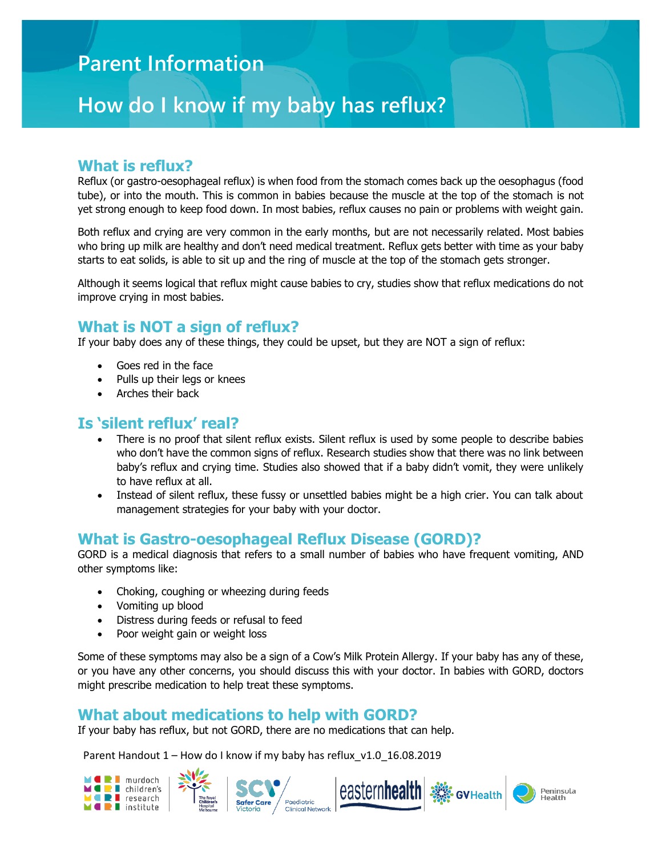## **Parent Information**

# **How do I know if my baby has reflux?**

#### **What is reflux?**

Reflux (or gastro-oesophageal reflux) is when food from the stomach comes back up the oesophagus (food tube), or into the mouth. This is common in babies because the muscle at the top of the stomach is not yet strong enough to keep food down. In most babies, reflux causes no pain or problems with weight gain.

Both reflux and crying are very common in the early months, but are not necessarily related. Most babies who bring up milk are healthy and don't need medical treatment. Reflux gets better with time as your baby starts to eat solids, is able to sit up and the ring of muscle at the top of the stomach gets stronger.

Although it seems logical that reflux might cause babies to cry, studies show that reflux medications do not improve crying in most babies.

### **What is NOT a sign of reflux?**

If your baby does any of these things, they could be upset, but they are NOT a sign of reflux:

- Goes red in the face
- Pulls up their legs or knees
- Arches their back

## **Is 'silent reflux' real?**

- There is no proof that silent reflux exists. Silent reflux is used by some people to describe babies who don't have the common signs of reflux. Research studies show that there was no link between baby's reflux and crying time. Studies also showed that if a baby didn't vomit, they were unlikely to have reflux at all.
- Instead of silent reflux, these fussy or unsettled babies might be a high crier. You can talk about management strategies for your baby with your doctor.

#### **What is Gastro-oesophageal Reflux Disease (GORD)?**

GORD is a medical diagnosis that refers to a small number of babies who have frequent vomiting, AND other symptoms like:

- Choking, coughing or wheezing during feeds
- Vomiting up blood
- Distress during feeds or refusal to feed
- Poor weight gain or weight loss

Some of these symptoms may also be a sign of a Cow's Milk Protein Allergy. If your baby has any of these, or you have any other concerns, you should discuss this with your doctor. In babies with GORD, doctors might prescribe medication to help treat these symptoms.

#### **What about medications to help with GORD?**

If your baby has reflux, but not GORD, there are no medications that can help.

Parent Handout 1 – How do I know if my baby has reflux v1.0 16.08.2019